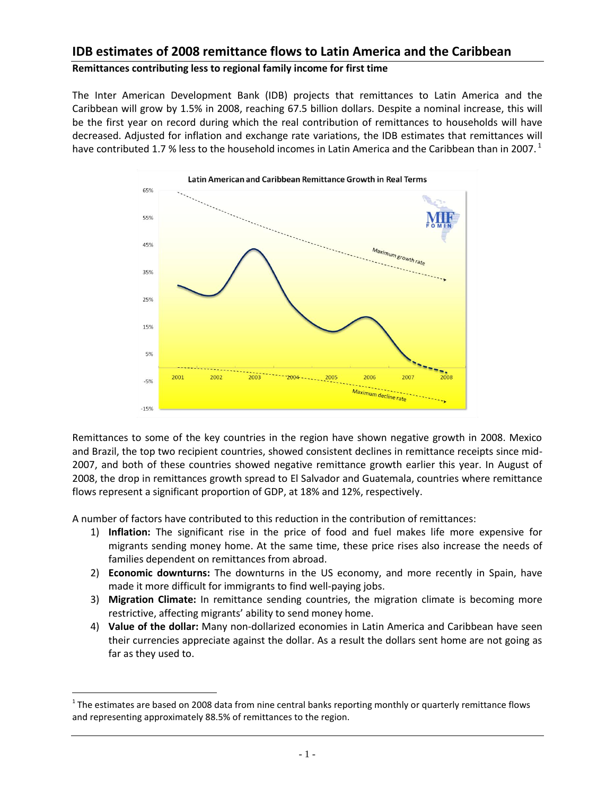# **IDB estimates of 2008 remittance flows to Latin America and the Caribbean**

## **Remittances contributing less to regional family income for first time**

The Inter American Development Bank (IDB) projects that remittances to Latin America and the Caribbean will grow by 1.5% in 2008, reaching 67.5 billion dollars. Despite a nominal increase, this will be the first year on record during which the real contribution of remittances to households will have decreased. Adjusted for inflation and exchange rate variations, the IDB estimates that remittances will have contributed 1.7 % less to the household incomes in Latin America and the Caribbean than in 2007.<sup>1</sup>



Remittances to some of the key countries in the region have shown negative growth in 2008. Mexico and Brazil, the top two recipient countries, showed consistent declines in remittance receipts since mid-2007, and both of these countries showed negative remittance growth earlier this year. In August of 2008, the drop in remittances growth spread to El Salvador and Guatemala, countries where remittance flows represent a significant proportion of GDP, at 18% and 12%, respectively.

A number of factors have contributed to this reduction in the contribution of remittances:

- 1) **Inflation:** The significant rise in the price of food and fuel makes life more expensive for migrants sending money home. At the same time, these price rises also increase the needs of families dependent on remittances from abroad.
- 2) **Economic downturns:** The downturns in the US economy, and more recently in Spain, have made it more difficult for immigrants to find well-paying jobs.
- 3) **Migration Climate:** In remittance sending countries, the migration climate is becoming more restrictive, affecting migrants' ability to send money home.
- 4) **Value of the dollar:** Many non-dollarized economies in Latin America and Caribbean have seen their currencies appreciate against the dollar. As a result the dollars sent home are not going as far as they used to.

 $\overline{a}$ 

 $1$ The estimates are based on 2008 data from nine central banks reporting monthly or quarterly remittance flows and representing approximately 88.5% of remittances to the region.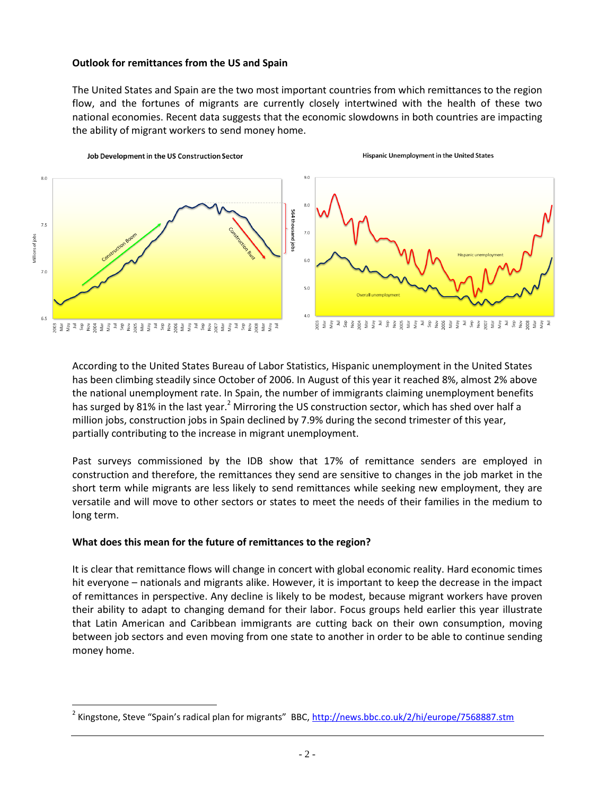#### **Outlook for remittances from the US and Spain**

The United States and Spain are the two most important countries from which remittances to the region flow, and the fortunes of migrants are currently closely intertwined with the health of these two national economies. Recent data suggests that the economic slowdowns in both countries are impacting the ability of migrant workers to send money home.



According to the United States Bureau of Labor Statistics, Hispanic unemployment in the United States has been climbing steadily since October of 2006. In August of this year it reached 8%, almost 2% above the national unemployment rate. In Spain, the number of immigrants claiming unemployment benefits has surged by 81% in the last year.<sup>2</sup> Mirroring the US construction sector, which has shed over half a million jobs, construction jobs in Spain declined by 7.9% during the second trimester of this year, partially contributing to the increase in migrant unemployment.

Past surveys commissioned by the IDB show that 17% of remittance senders are employed in construction and therefore, the remittances they send are sensitive to changes in the job market in the short term while migrants are less likely to send remittances while seeking new employment, they are versatile and will move to other sectors or states to meet the needs of their families in the medium to long term.

### **What does this mean for the future of remittances to the region?**

 $\overline{a}$ 

It is clear that remittance flows will change in concert with global economic reality. Hard economic times hit everyone – nationals and migrants alike. However, it is important to keep the decrease in the impact of remittances in perspective. Any decline is likely to be modest, because migrant workers have proven their ability to adapt to changing demand for their labor. Focus groups held earlier this year illustrate that Latin American and Caribbean immigrants are cutting back on their own consumption, moving between job sectors and even moving from one state to another in order to be able to continue sending money home.

<sup>&</sup>lt;sup>2</sup> Kingstone, Steve "Spain's radical plan for migrants" BBC, <http://news.bbc.co.uk/2/hi/europe/7568887.stm>